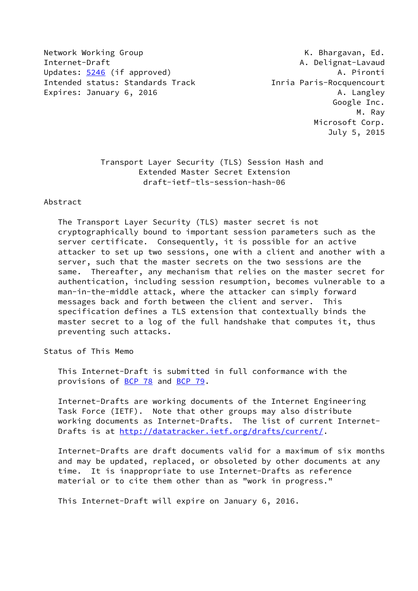Network Working Group Network Working Group Network Bhargavan, Ed. Internet-Draft A. Delignat-Lavaud Updates: [5246](https://datatracker.ietf.org/doc/pdf/rfc5246) (if approved) and the control of the A. Pironti Intended status: Standards Track Inria Paris-Rocquencourt Expires: January 6, 2016 **A. Louis Communist Communist Communist** A. Langley

 Google Inc. M. Ray Microsoft Corp. July 5, 2015

> Transport Layer Security (TLS) Session Hash and Extended Master Secret Extension draft-ietf-tls-session-hash-06

## Abstract

 The Transport Layer Security (TLS) master secret is not cryptographically bound to important session parameters such as the server certificate. Consequently, it is possible for an active attacker to set up two sessions, one with a client and another with a server, such that the master secrets on the two sessions are the same. Thereafter, any mechanism that relies on the master secret for authentication, including session resumption, becomes vulnerable to a man-in-the-middle attack, where the attacker can simply forward messages back and forth between the client and server. This specification defines a TLS extension that contextually binds the master secret to a log of the full handshake that computes it, thus preventing such attacks.

Status of This Memo

 This Internet-Draft is submitted in full conformance with the provisions of [BCP 78](https://datatracker.ietf.org/doc/pdf/bcp78) and [BCP 79](https://datatracker.ietf.org/doc/pdf/bcp79).

 Internet-Drafts are working documents of the Internet Engineering Task Force (IETF). Note that other groups may also distribute working documents as Internet-Drafts. The list of current Internet- Drafts is at<http://datatracker.ietf.org/drafts/current/>.

 Internet-Drafts are draft documents valid for a maximum of six months and may be updated, replaced, or obsoleted by other documents at any time. It is inappropriate to use Internet-Drafts as reference material or to cite them other than as "work in progress."

This Internet-Draft will expire on January 6, 2016.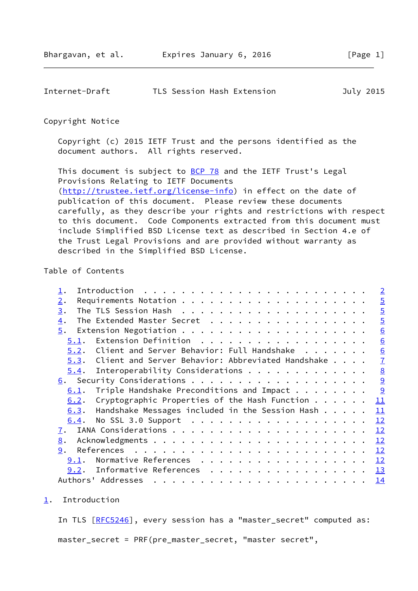## <span id="page-1-1"></span>Copyright Notice

 Copyright (c) 2015 IETF Trust and the persons identified as the document authors. All rights reserved.

This document is subject to **[BCP 78](https://datatracker.ietf.org/doc/pdf/bcp78)** and the IETF Trust's Legal Provisions Relating to IETF Documents [\(http://trustee.ietf.org/license-info](http://trustee.ietf.org/license-info)) in effect on the date of publication of this document. Please review these documents carefully, as they describe your rights and restrictions with respect to this document. Code Components extracted from this document must include Simplified BSD License text as described in Section 4.e of the Trust Legal Provisions and are provided without warranty as described in the Simplified BSD License.

# Table of Contents

|                  |                                                                                                                                                                                                                                                                                                                                                                                                                                                                                                             | $\overline{2}$ |
|------------------|-------------------------------------------------------------------------------------------------------------------------------------------------------------------------------------------------------------------------------------------------------------------------------------------------------------------------------------------------------------------------------------------------------------------------------------------------------------------------------------------------------------|----------------|
| $\overline{2}$ . |                                                                                                                                                                                                                                                                                                                                                                                                                                                                                                             | $\overline{5}$ |
| 3.               |                                                                                                                                                                                                                                                                                                                                                                                                                                                                                                             | $\overline{5}$ |
| $\overline{4}$ . | The Extended Master Secret                                                                                                                                                                                                                                                                                                                                                                                                                                                                                  | $\overline{5}$ |
| 5.               |                                                                                                                                                                                                                                                                                                                                                                                                                                                                                                             | 6              |
|                  | Extension Definition<br>5.1.                                                                                                                                                                                                                                                                                                                                                                                                                                                                                | 6              |
|                  | 5.2. Client and Server Behavior: Full Handshake                                                                                                                                                                                                                                                                                                                                                                                                                                                             | 6              |
|                  | 5.3. Client and Server Behavior: Abbreviated Handshake                                                                                                                                                                                                                                                                                                                                                                                                                                                      | $\overline{1}$ |
|                  | Interoperability Considerations<br>5.4.                                                                                                                                                                                                                                                                                                                                                                                                                                                                     | 8              |
|                  |                                                                                                                                                                                                                                                                                                                                                                                                                                                                                                             | $\overline{9}$ |
|                  | Triple Handshake Preconditions and Impact<br>6.1.                                                                                                                                                                                                                                                                                                                                                                                                                                                           | 9              |
|                  | Cryptographic Properties of the Hash Function<br>6.2.                                                                                                                                                                                                                                                                                                                                                                                                                                                       | 11             |
|                  | Handshake Messages included in the Session Hash<br>6.3.                                                                                                                                                                                                                                                                                                                                                                                                                                                     | 11             |
|                  | 6.4.                                                                                                                                                                                                                                                                                                                                                                                                                                                                                                        | 12             |
| <u>7</u> .       |                                                                                                                                                                                                                                                                                                                                                                                                                                                                                                             | 12             |
| 8.               |                                                                                                                                                                                                                                                                                                                                                                                                                                                                                                             | 12             |
| 9.               |                                                                                                                                                                                                                                                                                                                                                                                                                                                                                                             | 12             |
|                  | Normative References<br>9.1.                                                                                                                                                                                                                                                                                                                                                                                                                                                                                | 12             |
|                  | Informative References<br>9.2.                                                                                                                                                                                                                                                                                                                                                                                                                                                                              | 13             |
|                  | Authors' Addresses<br>$\mathbf{1} \quad \mathbf{1} \quad \mathbf{1} \quad \mathbf{1} \quad \mathbf{1} \quad \mathbf{1} \quad \mathbf{1} \quad \mathbf{1} \quad \mathbf{1} \quad \mathbf{1} \quad \mathbf{1} \quad \mathbf{1} \quad \mathbf{1} \quad \mathbf{1} \quad \mathbf{1} \quad \mathbf{1} \quad \mathbf{1} \quad \mathbf{1} \quad \mathbf{1} \quad \mathbf{1} \quad \mathbf{1} \quad \mathbf{1} \quad \mathbf{1} \quad \mathbf{1} \quad \mathbf{1} \quad \mathbf{1} \quad \mathbf{1} \quad \mathbf{$ | 14             |

## <span id="page-1-0"></span>[1](#page-1-0). Introduction

In TLS [\[RFC5246](https://datatracker.ietf.org/doc/pdf/rfc5246)], every session has a "master\_secret" computed as:

master\_secret = PRF(pre\_master\_secret, "master secret",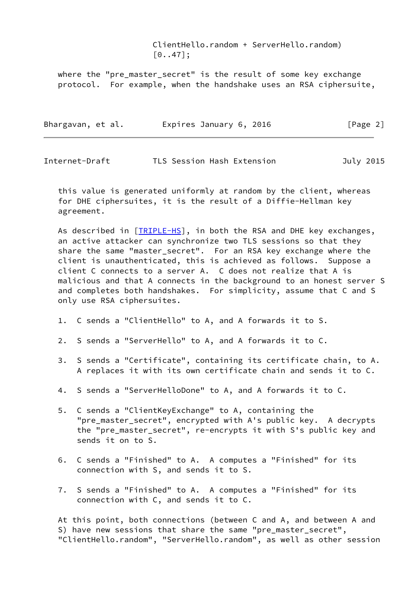ClientHello.random + ServerHello.random) [0..47];

 where the "pre\_master\_secret" is the result of some key exchange protocol. For example, when the handshake uses an RSA ciphersuite,

| Bhargavan, et al. |  | Expires January 6, 2016 | [Page 2] |
|-------------------|--|-------------------------|----------|
|-------------------|--|-------------------------|----------|

Internet-Draft TLS Session Hash Extension July 2015

 this value is generated uniformly at random by the client, whereas for DHE ciphersuites, it is the result of a Diffie-Hellman key agreement.

As described in [\[TRIPLE-HS](#page-14-1)], in both the RSA and DHE key exchanges, an active attacker can synchronize two TLS sessions so that they share the same "master\_secret". For an RSA key exchange where the client is unauthenticated, this is achieved as follows. Suppose a client C connects to a server A. C does not realize that A is malicious and that A connects in the background to an honest server S and completes both handshakes. For simplicity, assume that C and S only use RSA ciphersuites.

- 1. C sends a "ClientHello" to A, and A forwards it to S.
- 2. S sends a "ServerHello" to A, and A forwards it to C.
- 3. S sends a "Certificate", containing its certificate chain, to A. A replaces it with its own certificate chain and sends it to C.
- 4. S sends a "ServerHelloDone" to A, and A forwards it to C.
- 5. C sends a "ClientKeyExchange" to A, containing the "pre\_master\_secret", encrypted with A's public key. A decrypts the "pre\_master\_secret", re-encrypts it with S's public key and sends it on to S.
- 6. C sends a "Finished" to A. A computes a "Finished" for its connection with S, and sends it to S.
- 7. S sends a "Finished" to A. A computes a "Finished" for its connection with C, and sends it to C.

 At this point, both connections (between C and A, and between A and S) have new sessions that share the same "pre\_master\_secret", "ClientHello.random", "ServerHello.random", as well as other session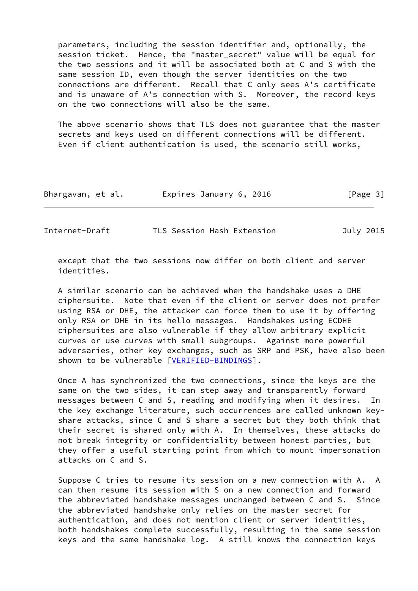parameters, including the session identifier and, optionally, the session ticket. Hence, the "master\_secret" value will be equal for the two sessions and it will be associated both at C and S with the same session ID, even though the server identities on the two connections are different. Recall that C only sees A's certificate and is unaware of A's connection with S. Moreover, the record keys on the two connections will also be the same.

 The above scenario shows that TLS does not guarantee that the master secrets and keys used on different connections will be different. Even if client authentication is used, the scenario still works,

| Bhargavan, et al. | Expires January 6, 2016 | [Page 3] |
|-------------------|-------------------------|----------|
|-------------------|-------------------------|----------|

Internet-Draft TLS Session Hash Extension July 2015

 except that the two sessions now differ on both client and server identities.

 A similar scenario can be achieved when the handshake uses a DHE ciphersuite. Note that even if the client or server does not prefer using RSA or DHE, the attacker can force them to use it by offering only RSA or DHE in its hello messages. Handshakes using ECDHE ciphersuites are also vulnerable if they allow arbitrary explicit curves or use curves with small subgroups. Against more powerful adversaries, other key exchanges, such as SRP and PSK, have also been shown to be vulnerable [\[VERIFIED-BINDINGS](#page-14-2)].

 Once A has synchronized the two connections, since the keys are the same on the two sides, it can step away and transparently forward messages between C and S, reading and modifying when it desires. In the key exchange literature, such occurrences are called unknown key share attacks, since C and S share a secret but they both think that their secret is shared only with A. In themselves, these attacks do not break integrity or confidentiality between honest parties, but they offer a useful starting point from which to mount impersonation attacks on C and S.

 Suppose C tries to resume its session on a new connection with A. A can then resume its session with S on a new connection and forward the abbreviated handshake messages unchanged between C and S. Since the abbreviated handshake only relies on the master secret for authentication, and does not mention client or server identities, both handshakes complete successfully, resulting in the same session keys and the same handshake log. A still knows the connection keys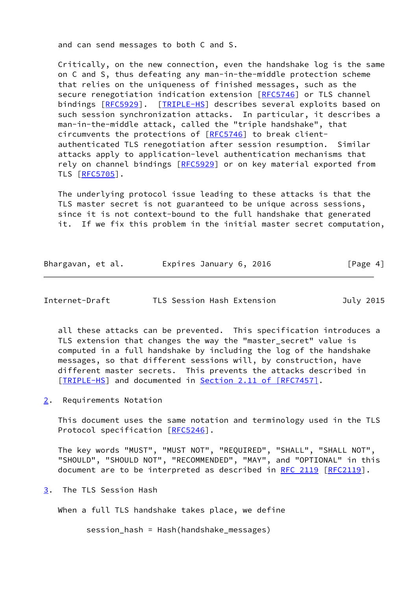and can send messages to both C and S.

 Critically, on the new connection, even the handshake log is the same on C and S, thus defeating any man-in-the-middle protection scheme that relies on the uniqueness of finished messages, such as the secure renegotiation indication extension [[RFC5746](https://datatracker.ietf.org/doc/pdf/rfc5746)] or TLS channel bindings [\[RFC5929](https://datatracker.ietf.org/doc/pdf/rfc5929)]. [\[TRIPLE-HS\]](#page-14-1) describes several exploits based on such session synchronization attacks. In particular, it describes a man-in-the-middle attack, called the "triple handshake", that circumvents the protections of [\[RFC5746](https://datatracker.ietf.org/doc/pdf/rfc5746)] to break client authenticated TLS renegotiation after session resumption. Similar attacks apply to application-level authentication mechanisms that rely on channel bindings [\[RFC5929](https://datatracker.ietf.org/doc/pdf/rfc5929)] or on key material exported from TLS [\[RFC5705](https://datatracker.ietf.org/doc/pdf/rfc5705)].

 The underlying protocol issue leading to these attacks is that the TLS master secret is not guaranteed to be unique across sessions, since it is not context-bound to the full handshake that generated it. If we fix this problem in the initial master secret computation,

| Bhargavan, et al. | Expires January 6, 2016 | [Page 4] |
|-------------------|-------------------------|----------|
|-------------------|-------------------------|----------|

<span id="page-4-1"></span>

| Internet-Draft | TLS Session Hash Extension | July 2015 |
|----------------|----------------------------|-----------|
|----------------|----------------------------|-----------|

 all these attacks can be prevented. This specification introduces a TLS extension that changes the way the "master\_secret" value is computed in a full handshake by including the log of the handshake messages, so that different sessions will, by construction, have different master secrets. This prevents the attacks described in [\[TRIPLE-HS](#page-14-1)] and documented in Section [2.11 of \[RFC7457\].](https://datatracker.ietf.org/doc/pdf/rfc7457#section-2.11)

<span id="page-4-0"></span>[2](#page-4-0). Requirements Notation

 This document uses the same notation and terminology used in the TLS Protocol specification [\[RFC5246](https://datatracker.ietf.org/doc/pdf/rfc5246)].

 The key words "MUST", "MUST NOT", "REQUIRED", "SHALL", "SHALL NOT", "SHOULD", "SHOULD NOT", "RECOMMENDED", "MAY", and "OPTIONAL" in this document are to be interpreted as described in [RFC 2119 \[RFC2119](https://datatracker.ietf.org/doc/pdf/rfc2119)].

<span id="page-4-2"></span>[3](#page-4-2). The TLS Session Hash

When a full TLS handshake takes place, we define

session\_hash = Hash(handshake\_messages)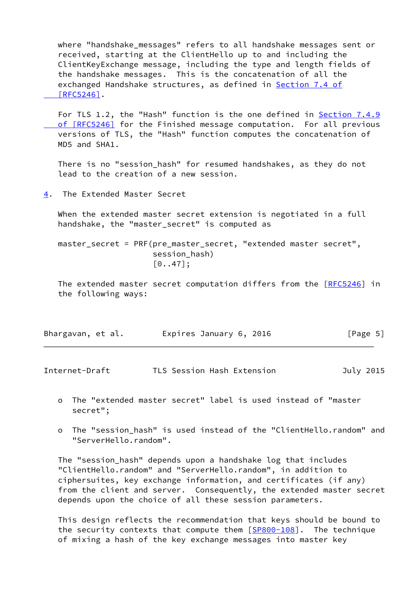where "handshake\_messages" refers to all handshake messages sent or received, starting at the ClientHello up to and including the ClientKeyExchange message, including the type and length fields of the handshake messages. This is the concatenation of all the exchanged Handshake structures, as defined in [Section](https://datatracker.ietf.org/doc/pdf/rfc5246#section-7.4) 7.4 of  [\[RFC5246\]](https://datatracker.ietf.org/doc/pdf/rfc5246#section-7.4).

For TLS 1.2, the "Hash" function is the one defined in [Section](https://datatracker.ietf.org/doc/pdf/rfc5246#section-7.4.9) 7.4.9  [of \[RFC5246\]](https://datatracker.ietf.org/doc/pdf/rfc5246#section-7.4.9) for the Finished message computation. For all previous versions of TLS, the "Hash" function computes the concatenation of MD5 and SHA1.

 There is no "session\_hash" for resumed handshakes, as they do not lead to the creation of a new session.

<span id="page-5-0"></span>[4](#page-5-0). The Extended Master Secret

 When the extended master secret extension is negotiated in a full handshake, the "master\_secret" is computed as

 master\_secret = PRF(pre\_master\_secret, "extended master secret", session\_hash) [0..47];

The extended master secret computation differs from the [\[RFC5246](https://datatracker.ietf.org/doc/pdf/rfc5246)] in the following ways:

| Bhargavan, et al.<br>Expires January 6, 2016 | [Page 5] |
|----------------------------------------------|----------|
|----------------------------------------------|----------|

<span id="page-5-1"></span>Internet-Draft TLS Session Hash Extension July 2015

- o The "extended master secret" label is used instead of "master secret";
- o The "session hash" is used instead of the "ClientHello.random" and "ServerHello.random".

 The "session\_hash" depends upon a handshake log that includes "ClientHello.random" and "ServerHello.random", in addition to ciphersuites, key exchange information, and certificates (if any) from the client and server. Consequently, the extended master secret depends upon the choice of all these session parameters.

 This design reflects the recommendation that keys should be bound to the security contexts that compute them  $[SP800-108]$  $[SP800-108]$ . The technique of mixing a hash of the key exchange messages into master key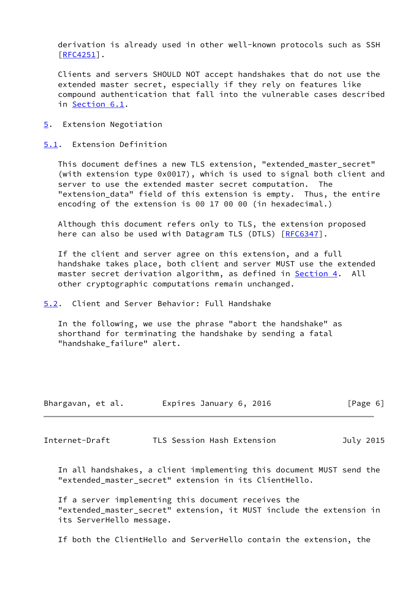derivation is already used in other well-known protocols such as SSH [\[RFC4251](https://datatracker.ietf.org/doc/pdf/rfc4251)].

 Clients and servers SHOULD NOT accept handshakes that do not use the extended master secret, especially if they rely on features like compound authentication that fall into the vulnerable cases described in [Section 6.1](#page-9-2).

<span id="page-6-0"></span>[5](#page-6-0). Extension Negotiation

<span id="page-6-1"></span>[5.1](#page-6-1). Extension Definition

 This document defines a new TLS extension, "extended\_master\_secret" (with extension type 0x0017), which is used to signal both client and server to use the extended master secret computation. The "extension data" field of this extension is empty. Thus, the entire encoding of the extension is 00 17 00 00 (in hexadecimal.)

 Although this document refers only to TLS, the extension proposed here can also be used with Datagram TLS (DTLS) [\[RFC6347](https://datatracker.ietf.org/doc/pdf/rfc6347)].

 If the client and server agree on this extension, and a full handshake takes place, both client and server MUST use the extended master secret derivation algorithm, as defined in **Section 4.** All other cryptographic computations remain unchanged.

<span id="page-6-2"></span>[5.2](#page-6-2). Client and Server Behavior: Full Handshake

 In the following, we use the phrase "abort the handshake" as shorthand for terminating the handshake by sending a fatal "handshake\_failure" alert.

| Bhargavan, et al. |  | Expires January 6, 2016 |  | [Page 6] |  |
|-------------------|--|-------------------------|--|----------|--|
|                   |  |                         |  |          |  |

<span id="page-6-3"></span>Internet-Draft TLS Session Hash Extension July 2015

 In all handshakes, a client implementing this document MUST send the "extended\_master\_secret" extension in its ClientHello.

 If a server implementing this document receives the "extended\_master\_secret" extension, it MUST include the extension in its ServerHello message.

If both the ClientHello and ServerHello contain the extension, the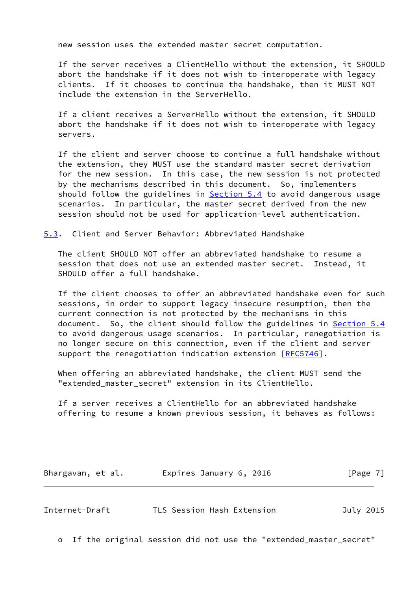new session uses the extended master secret computation.

 If the server receives a ClientHello without the extension, it SHOULD abort the handshake if it does not wish to interoperate with legacy clients. If it chooses to continue the handshake, then it MUST NOT include the extension in the ServerHello.

 If a client receives a ServerHello without the extension, it SHOULD abort the handshake if it does not wish to interoperate with legacy servers.

 If the client and server choose to continue a full handshake without the extension, they MUST use the standard master secret derivation for the new session. In this case, the new session is not protected by the mechanisms described in this document. So, implementers should follow the guidelines in [Section 5.4](#page-8-0) to avoid dangerous usage scenarios. In particular, the master secret derived from the new session should not be used for application-level authentication.

<span id="page-7-0"></span>[5.3](#page-7-0). Client and Server Behavior: Abbreviated Handshake

 The client SHOULD NOT offer an abbreviated handshake to resume a session that does not use an extended master secret. Instead, it SHOULD offer a full handshake.

 If the client chooses to offer an abbreviated handshake even for such sessions, in order to support legacy insecure resumption, then the current connection is not protected by the mechanisms in this document. So, the client should follow the guidelines in [Section 5.4](#page-8-0) to avoid dangerous usage scenarios. In particular, renegotiation is no longer secure on this connection, even if the client and server support the renegotiation indication extension [\[RFC5746](https://datatracker.ietf.org/doc/pdf/rfc5746)].

 When offering an abbreviated handshake, the client MUST send the "extended\_master\_secret" extension in its ClientHello.

 If a server receives a ClientHello for an abbreviated handshake offering to resume a known previous session, it behaves as follows:

Bhargavan, et al. **Expires January 6, 2016** 
[Page 7]

<span id="page-7-1"></span>Internet-Draft TLS Session Hash Extension July 2015

o If the original session did not use the "extended\_master\_secret"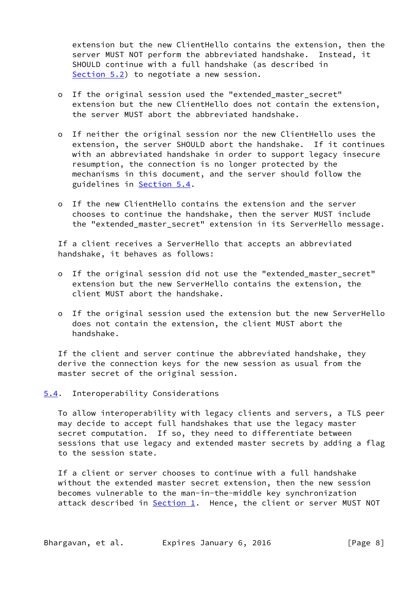extension but the new ClientHello contains the extension, then the server MUST NOT perform the abbreviated handshake. Instead, it SHOULD continue with a full handshake (as described in [Section 5.2](#page-6-2)) to negotiate a new session.

- o If the original session used the "extended\_master\_secret" extension but the new ClientHello does not contain the extension, the server MUST abort the abbreviated handshake.
- o If neither the original session nor the new ClientHello uses the extension, the server SHOULD abort the handshake. If it continues with an abbreviated handshake in order to support legacy insecure resumption, the connection is no longer protected by the mechanisms in this document, and the server should follow the guidelines in [Section 5.4](#page-8-0).
- o If the new ClientHello contains the extension and the server chooses to continue the handshake, then the server MUST include the "extended\_master\_secret" extension in its ServerHello message.

 If a client receives a ServerHello that accepts an abbreviated handshake, it behaves as follows:

- o If the original session did not use the "extended\_master\_secret" extension but the new ServerHello contains the extension, the client MUST abort the handshake.
- o If the original session used the extension but the new ServerHello does not contain the extension, the client MUST abort the handshake.

 If the client and server continue the abbreviated handshake, they derive the connection keys for the new session as usual from the master secret of the original session.

<span id="page-8-0"></span>[5.4](#page-8-0). Interoperability Considerations

 To allow interoperability with legacy clients and servers, a TLS peer may decide to accept full handshakes that use the legacy master secret computation. If so, they need to differentiate between sessions that use legacy and extended master secrets by adding a flag to the session state.

 If a client or server chooses to continue with a full handshake without the extended master secret extension, then the new session becomes vulnerable to the man-in-the-middle key synchronization attack described in **Section 1</u>.** Hence, the client or server MUST NOT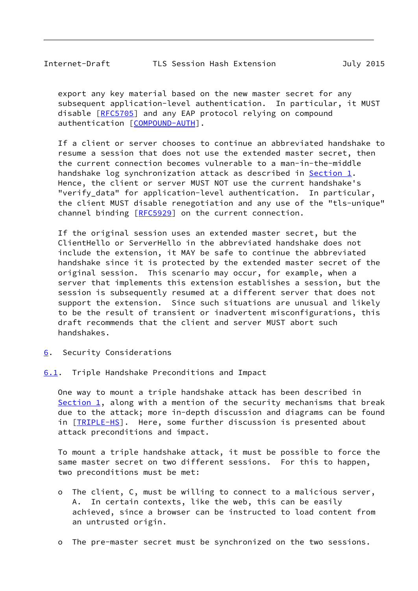<span id="page-9-1"></span> export any key material based on the new master secret for any subsequent application-level authentication. In particular, it MUST disable [\[RFC5705](https://datatracker.ietf.org/doc/pdf/rfc5705)] and any EAP protocol relying on compound authentication [\[COMPOUND-AUTH](#page-14-4)].

 If a client or server chooses to continue an abbreviated handshake to resume a session that does not use the extended master secret, then the current connection becomes vulnerable to a man-in-the-middle handshake log synchronization attack as described in [Section 1](#page-1-0). Hence, the client or server MUST NOT use the current handshake's "verify\_data" for application-level authentication. In particular, the client MUST disable renegotiation and any use of the "tls-unique" channel binding [\[RFC5929](https://datatracker.ietf.org/doc/pdf/rfc5929)] on the current connection.

 If the original session uses an extended master secret, but the ClientHello or ServerHello in the abbreviated handshake does not include the extension, it MAY be safe to continue the abbreviated handshake since it is protected by the extended master secret of the original session. This scenario may occur, for example, when a server that implements this extension establishes a session, but the session is subsequently resumed at a different server that does not support the extension. Since such situations are unusual and likely to be the result of transient or inadvertent misconfigurations, this draft recommends that the client and server MUST abort such handshakes.

<span id="page-9-0"></span>[6](#page-9-0). Security Considerations

<span id="page-9-2"></span>[6.1](#page-9-2). Triple Handshake Preconditions and Impact

 One way to mount a triple handshake attack has been described in [Section 1](#page-1-0), along with a mention of the security mechanisms that break due to the attack; more in-depth discussion and diagrams can be found in [[TRIPLE-HS\]](#page-14-1). Here, some further discussion is presented about attack preconditions and impact.

 To mount a triple handshake attack, it must be possible to force the same master secret on two different sessions. For this to happen, two preconditions must be met:

- o The client, C, must be willing to connect to a malicious server, A. In certain contexts, like the web, this can be easily achieved, since a browser can be instructed to load content from an untrusted origin.
- o The pre-master secret must be synchronized on the two sessions.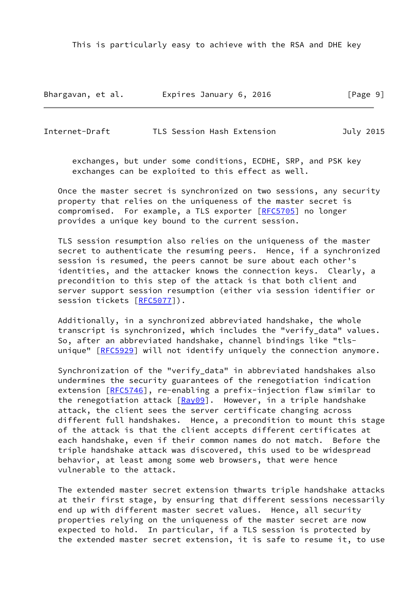This is particularly easy to achieve with the RSA and DHE key

Bhargavan, et al. Expires January 6, 2016 [Page 9]

Internet-Draft TLS Session Hash Extension July 2015

 exchanges, but under some conditions, ECDHE, SRP, and PSK key exchanges can be exploited to this effect as well.

 Once the master secret is synchronized on two sessions, any security property that relies on the uniqueness of the master secret is compromised. For example, a TLS exporter [[RFC5705](https://datatracker.ietf.org/doc/pdf/rfc5705)] no longer provides a unique key bound to the current session.

 TLS session resumption also relies on the uniqueness of the master secret to authenticate the resuming peers. Hence, if a synchronized session is resumed, the peers cannot be sure about each other's identities, and the attacker knows the connection keys. Clearly, a precondition to this step of the attack is that both client and server support session resumption (either via session identifier or session tickets [\[RFC5077](https://datatracker.ietf.org/doc/pdf/rfc5077)]).

 Additionally, in a synchronized abbreviated handshake, the whole transcript is synchronized, which includes the "verify\_data" values. So, after an abbreviated handshake, channel bindings like "tls- unique" [\[RFC5929](https://datatracker.ietf.org/doc/pdf/rfc5929)] will not identify uniquely the connection anymore.

 Synchronization of the "verify\_data" in abbreviated handshakes also undermines the security guarantees of the renegotiation indication extension [[RFC5746](https://datatracker.ietf.org/doc/pdf/rfc5746)], re-enabling a prefix-injection flaw similar to the renegotiation attack  $[Ray09]$ . However, in a triple handshake attack, the client sees the server certificate changing across different full handshakes. Hence, a precondition to mount this stage of the attack is that the client accepts different certificates at each handshake, even if their common names do not match. Before the triple handshake attack was discovered, this used to be widespread behavior, at least among some web browsers, that were hence vulnerable to the attack.

 The extended master secret extension thwarts triple handshake attacks at their first stage, by ensuring that different sessions necessarily end up with different master secret values. Hence, all security properties relying on the uniqueness of the master secret are now expected to hold. In particular, if a TLS session is protected by the extended master secret extension, it is safe to resume it, to use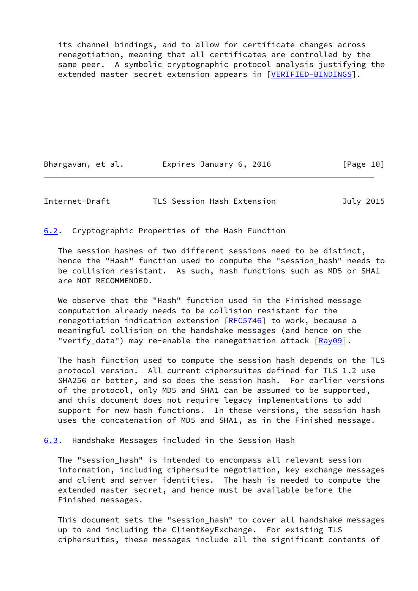its channel bindings, and to allow for certificate changes across renegotiation, meaning that all certificates are controlled by the same peer. A symbolic cryptographic protocol analysis justifying the extended master secret extension appears in [\[VERIFIED-BINDINGS](#page-14-2)].

| Bhargavan, et al. | Expires January 6, 2016 | [Page 10] |
|-------------------|-------------------------|-----------|
|-------------------|-------------------------|-----------|

<span id="page-11-1"></span>Internet-Draft TLS Session Hash Extension July 2015

<span id="page-11-0"></span>[6.2](#page-11-0). Cryptographic Properties of the Hash Function

 The session hashes of two different sessions need to be distinct, hence the "Hash" function used to compute the "session\_hash" needs to be collision resistant. As such, hash functions such as MD5 or SHA1 are NOT RECOMMENDED.

 We observe that the "Hash" function used in the Finished message computation already needs to be collision resistant for the renegotiation indication extension [[RFC5746\]](https://datatracker.ietf.org/doc/pdf/rfc5746) to work, because a meaningful collision on the handshake messages (and hence on the "verify\_data") may re-enable the renegotiation attack [[Ray09\]](#page-14-5).

 The hash function used to compute the session hash depends on the TLS protocol version. All current ciphersuites defined for TLS 1.2 use SHA256 or better, and so does the session hash. For earlier versions of the protocol, only MD5 and SHA1 can be assumed to be supported, and this document does not require legacy implementations to add support for new hash functions. In these versions, the session hash uses the concatenation of MD5 and SHA1, as in the Finished message.

<span id="page-11-2"></span>[6.3](#page-11-2). Handshake Messages included in the Session Hash

 The "session\_hash" is intended to encompass all relevant session information, including ciphersuite negotiation, key exchange messages and client and server identities. The hash is needed to compute the extended master secret, and hence must be available before the Finished messages.

 This document sets the "session\_hash" to cover all handshake messages up to and including the ClientKeyExchange. For existing TLS ciphersuites, these messages include all the significant contents of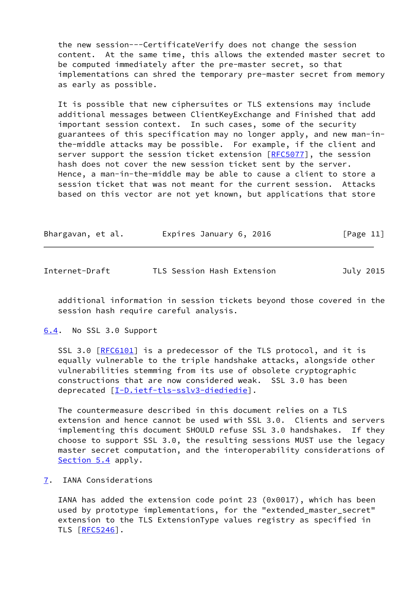the new session---CertificateVerify does not change the session content. At the same time, this allows the extended master secret to be computed immediately after the pre-master secret, so that implementations can shred the temporary pre-master secret from memory as early as possible.

 It is possible that new ciphersuites or TLS extensions may include additional messages between ClientKeyExchange and Finished that add important session context. In such cases, some of the security guarantees of this specification may no longer apply, and new man-in the-middle attacks may be possible. For example, if the client and server support the session ticket extension [\[RFC5077](https://datatracker.ietf.org/doc/pdf/rfc5077)], the session hash does not cover the new session ticket sent by the server. Hence, a man-in-the-middle may be able to cause a client to store a session ticket that was not meant for the current session. Attacks based on this vector are not yet known, but applications that store

| Bhargavan, et al. | Expires January 6, 2016 | [Page 11] |
|-------------------|-------------------------|-----------|
|-------------------|-------------------------|-----------|

<span id="page-12-1"></span>

| Internet-Draft | TLS Session Hash Extension | July 2015 |
|----------------|----------------------------|-----------|
|----------------|----------------------------|-----------|

 additional information in session tickets beyond those covered in the session hash require careful analysis.

## <span id="page-12-0"></span>[6.4](#page-12-0). No SSL 3.0 Support

SSL 3.0 [\[RFC6101](https://datatracker.ietf.org/doc/pdf/rfc6101)] is a predecessor of the TLS protocol, and it is equally vulnerable to the triple handshake attacks, alongside other vulnerabilities stemming from its use of obsolete cryptographic constructions that are now considered weak. SSL 3.0 has been deprecated [[I-D.ietf-tls-sslv3-diediedie\]](#page-14-6).

 The countermeasure described in this document relies on a TLS extension and hence cannot be used with SSL 3.0. Clients and servers implementing this document SHOULD refuse SSL 3.0 handshakes. If they choose to support SSL 3.0, the resulting sessions MUST use the legacy master secret computation, and the interoperability considerations of [Section 5.4](#page-8-0) apply.

### <span id="page-12-2"></span>[7](#page-12-2). IANA Considerations

 IANA has added the extension code point 23 (0x0017), which has been used by prototype implementations, for the "extended\_master\_secret" extension to the TLS ExtensionType values registry as specified in TLS [\[RFC5246](https://datatracker.ietf.org/doc/pdf/rfc5246)].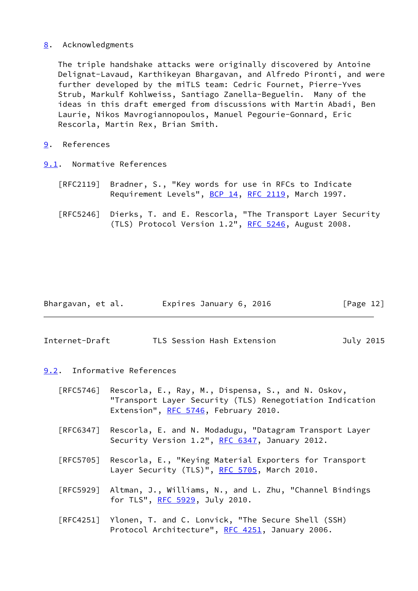# <span id="page-13-0"></span>[8](#page-13-0). Acknowledgments

 The triple handshake attacks were originally discovered by Antoine Delignat-Lavaud, Karthikeyan Bhargavan, and Alfredo Pironti, and were further developed by the miTLS team: Cedric Fournet, Pierre-Yves Strub, Markulf Kohlweiss, Santiago Zanella-Beguelin. Many of the ideas in this draft emerged from discussions with Martin Abadi, Ben Laurie, Nikos Mavrogiannopoulos, Manuel Pegourie-Gonnard, Eric Rescorla, Martin Rex, Brian Smith.

- <span id="page-13-1"></span>[9](#page-13-1). References
- <span id="page-13-2"></span>[9.1](#page-13-2). Normative References
	- [RFC2119] Bradner, S., "Key words for use in RFCs to Indicate Requirement Levels", [BCP 14](https://datatracker.ietf.org/doc/pdf/bcp14), [RFC 2119](https://datatracker.ietf.org/doc/pdf/rfc2119), March 1997.
	- [RFC5246] Dierks, T. and E. Rescorla, "The Transport Layer Security (TLS) Protocol Version 1.2", [RFC 5246](https://datatracker.ietf.org/doc/pdf/rfc5246), August 2008.

| Bhargavan, et al. | Expires January 6, 2016 | [Page 12] |
|-------------------|-------------------------|-----------|
|                   |                         |           |

<span id="page-13-4"></span>Internet-Draft TLS Session Hash Extension July 2015

- <span id="page-13-3"></span>[9.2](#page-13-3). Informative References
	- [RFC5746] Rescorla, E., Ray, M., Dispensa, S., and N. Oskov, "Transport Layer Security (TLS) Renegotiation Indication Extension", [RFC 5746,](https://datatracker.ietf.org/doc/pdf/rfc5746) February 2010.
	- [RFC6347] Rescorla, E. and N. Modadugu, "Datagram Transport Layer Security Version 1.2", [RFC 6347](https://datatracker.ietf.org/doc/pdf/rfc6347), January 2012.
	- [RFC5705] Rescorla, E., "Keying Material Exporters for Transport Layer Security (TLS)", [RFC 5705](https://datatracker.ietf.org/doc/pdf/rfc5705), March 2010.
	- [RFC5929] Altman, J., Williams, N., and L. Zhu, "Channel Bindings for TLS", [RFC 5929](https://datatracker.ietf.org/doc/pdf/rfc5929), July 2010.
	- [RFC4251] Ylonen, T. and C. Lonvick, "The Secure Shell (SSH) Protocol Architecture", [RFC 4251,](https://datatracker.ietf.org/doc/pdf/rfc4251) January 2006.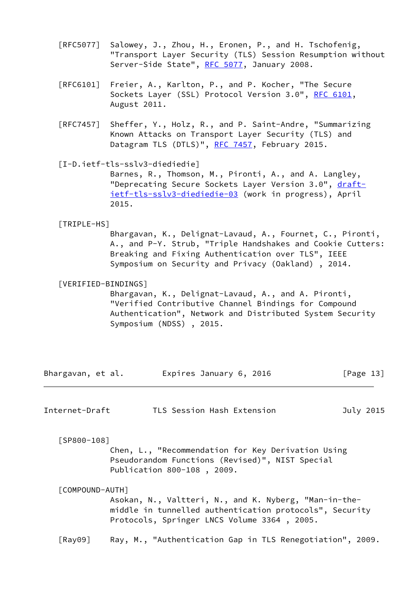- [RFC5077] Salowey, J., Zhou, H., Eronen, P., and H. Tschofenig, "Transport Layer Security (TLS) Session Resumption without Server-Side State", [RFC 5077,](https://datatracker.ietf.org/doc/pdf/rfc5077) January 2008.
- [RFC6101] Freier, A., Karlton, P., and P. Kocher, "The Secure Sockets Layer (SSL) Protocol Version 3.0", [RFC 6101](https://datatracker.ietf.org/doc/pdf/rfc6101), August 2011.
- [RFC7457] Sheffer, Y., Holz, R., and P. Saint-Andre, "Summarizing Known Attacks on Transport Layer Security (TLS) and Datagram TLS (DTLS)", [RFC 7457](https://datatracker.ietf.org/doc/pdf/rfc7457), February 2015.

<span id="page-14-6"></span> [I-D.ietf-tls-sslv3-diediedie] Barnes, R., Thomson, M., Pironti, A., and A. Langley, "Deprecating Secure Sockets Layer Version 3.0", [draft](https://datatracker.ietf.org/doc/pdf/draft-ietf-tls-sslv3-diediedie-03) [ietf-tls-sslv3-diediedie-03](https://datatracker.ietf.org/doc/pdf/draft-ietf-tls-sslv3-diediedie-03) (work in progress), April 2015.

### <span id="page-14-1"></span>[TRIPLE-HS]

 Bhargavan, K., Delignat-Lavaud, A., Fournet, C., Pironti, A., and P-Y. Strub, "Triple Handshakes and Cookie Cutters: Breaking and Fixing Authentication over TLS", IEEE Symposium on Security and Privacy (Oakland) , 2014.

## <span id="page-14-2"></span>[VERIFIED-BINDINGS]

 Bhargavan, K., Delignat-Lavaud, A., and A. Pironti, "Verified Contributive Channel Bindings for Compound Authentication", Network and Distributed System Security Symposium (NDSS) , 2015.

| Bhargavan, et al. | Expires January 6, 2016 | [Page 13] |
|-------------------|-------------------------|-----------|
|-------------------|-------------------------|-----------|

<span id="page-14-0"></span>

| Internet-Draft |  |  |  | TLS Session Hash Extension | July 2015 |  |
|----------------|--|--|--|----------------------------|-----------|--|
|----------------|--|--|--|----------------------------|-----------|--|

<span id="page-14-3"></span>[SP800-108]

 Chen, L., "Recommendation for Key Derivation Using Pseudorandom Functions (Revised)", NIST Special Publication 800-108 , 2009.

## <span id="page-14-4"></span>[COMPOUND-AUTH]

 Asokan, N., Valtteri, N., and K. Nyberg, "Man-in-the middle in tunnelled authentication protocols", Security Protocols, Springer LNCS Volume 3364 , 2005.

<span id="page-14-5"></span>[Ray09] Ray, M., "Authentication Gap in TLS Renegotiation", 2009.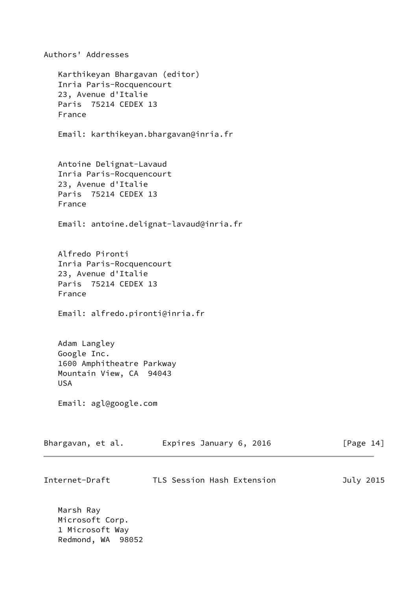```
Authors' Addresses
   Karthikeyan Bhargavan (editor)
   Inria Paris-Rocquencourt
   23, Avenue d'Italie
   Paris 75214 CEDEX 13
    France
   Email: karthikeyan.bhargavan@inria.fr
   Antoine Delignat-Lavaud
   Inria Paris-Rocquencourt
   23, Avenue d'Italie
   Paris 75214 CEDEX 13
    France
   Email: antoine.delignat-lavaud@inria.fr
   Alfredo Pironti
   Inria Paris-Rocquencourt
   23, Avenue d'Italie
   Paris 75214 CEDEX 13
    France
   Email: alfredo.pironti@inria.fr
   Adam Langley
   Google Inc.
   1600 Amphitheatre Parkway
   Mountain View, CA 94043
   USA
   Email: agl@google.com
Bhargavan, et al.     Expires January 6, 2016       [Page 14]
Internet-Draft TLS Session Hash Extension July 2015
   Marsh Ray
   Microsoft Corp.
   1 Microsoft Way
   Redmond, WA 98052
```